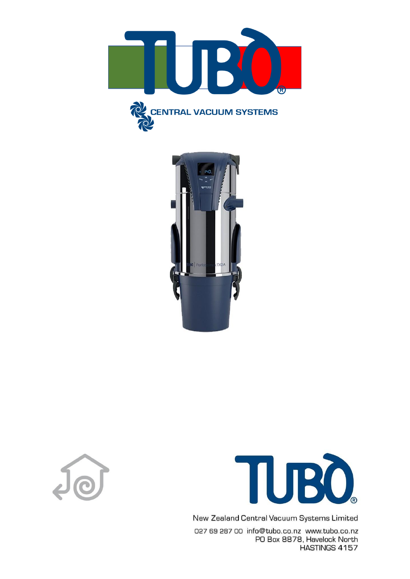







New Zealand Central Vacuum Systems Limited

027 69 287 00 info@tubo.co.nz www.tubo.co.nz PO Box 8878, Havelock North HASTINGS 4157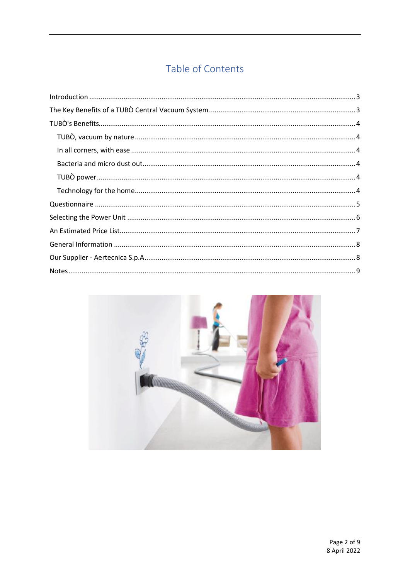# Table of Contents

| $\label{lem:1.1} \mbox{Introduction} \,\, \ldots \,\, \ldots \,\, \ldots \,\, \ldots \,\, \ldots \,\, \ldots \,\, \ldots \,\, \ldots \,\, \ldots \,\, \ldots \,\, \ldots \,\, \ldots \,\, \ldots \,\, \ldots \,\, \ldots \,\, \ldots \,\, \ldots \,\, \ldots \,\, \ldots \,\, \ldots \,\, \ldots \,\, \ldots \,\, \ldots \,\, \ldots \,\, \ldots \,\, \ldots \,\, \ldots \,\, \ldots \,\, \ldots \,\, \ldots \,\, \ldots \,\, \ldots \,\, \ldots \,\, \ldots \$ |  |
|-----------------------------------------------------------------------------------------------------------------------------------------------------------------------------------------------------------------------------------------------------------------------------------------------------------------------------------------------------------------------------------------------------------------------------------------------------------------|--|
|                                                                                                                                                                                                                                                                                                                                                                                                                                                                 |  |
|                                                                                                                                                                                                                                                                                                                                                                                                                                                                 |  |
|                                                                                                                                                                                                                                                                                                                                                                                                                                                                 |  |
|                                                                                                                                                                                                                                                                                                                                                                                                                                                                 |  |
|                                                                                                                                                                                                                                                                                                                                                                                                                                                                 |  |
|                                                                                                                                                                                                                                                                                                                                                                                                                                                                 |  |
|                                                                                                                                                                                                                                                                                                                                                                                                                                                                 |  |
|                                                                                                                                                                                                                                                                                                                                                                                                                                                                 |  |
|                                                                                                                                                                                                                                                                                                                                                                                                                                                                 |  |
|                                                                                                                                                                                                                                                                                                                                                                                                                                                                 |  |
|                                                                                                                                                                                                                                                                                                                                                                                                                                                                 |  |
|                                                                                                                                                                                                                                                                                                                                                                                                                                                                 |  |
|                                                                                                                                                                                                                                                                                                                                                                                                                                                                 |  |

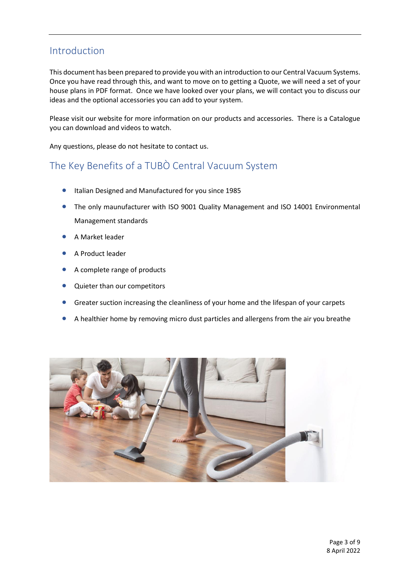### <span id="page-2-0"></span>Introduction

This document has been prepared to provide you with an introduction to our Central Vacuum Systems. Once you have read through this, and want to move on to getting a Quote, we will need a set of your house plans in PDF format. Once we have looked over your plans, we will contact you to discuss our ideas and the optional accessories you can add to your system.

Please visit our website for more information on our products and accessories. There is a Catalogue you can download and videos to watch.

Any questions, please do not hesitate to contact us.

# <span id="page-2-1"></span>The Key Benefits of a TUBÒ Central Vacuum System

- Italian Designed and Manufactured for you since 1985
- The only maunufacturer with ISO 9001 Quality Management and ISO 14001 Environmental Management standards
- A Market leader
- A Product leader
- A complete range of products
- Quieter than our competitors
- Greater suction increasing the cleanliness of your home and the lifespan of your carpets
- A healthier home by removing micro dust particles and allergens from the air you breathe

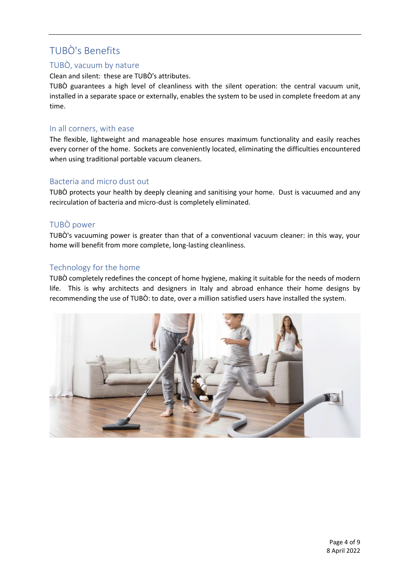# <span id="page-3-0"></span>TUBÒ's Benefits

#### <span id="page-3-1"></span>TUBÒ, vacuum by nature

Clean and silent: these are TUBÒ's attributes.

TUBÒ guarantees a high level of cleanliness with the silent operation: the central vacuum unit, installed in a separate space or externally, enables the system to be used in complete freedom at any time.

#### <span id="page-3-2"></span>In all corners, with ease

The flexible, lightweight and manageable hose ensures maximum functionality and easily reaches every corner of the home. Sockets are conveniently located, eliminating the difficulties encountered when using traditional portable vacuum cleaners.

#### <span id="page-3-3"></span>Bacteria and micro dust out

TUBÒ protects your health by deeply cleaning and sanitising your home. Dust is vacuumed and any recirculation of bacteria and micro-dust is completely eliminated.

#### <span id="page-3-4"></span>TUBÒ power

TUBÒ's vacuuming power is greater than that of a conventional vacuum cleaner: in this way, your home will benefit from more complete, long-lasting cleanliness.

#### <span id="page-3-5"></span>Technology for the home

TUBÒ completely redefines the concept of home hygiene, making it suitable for the needs of modern life. This is why architects and designers in Italy and abroad enhance their home designs by recommending the use of TUBÒ: to date, over a million satisfied users have installed the system.

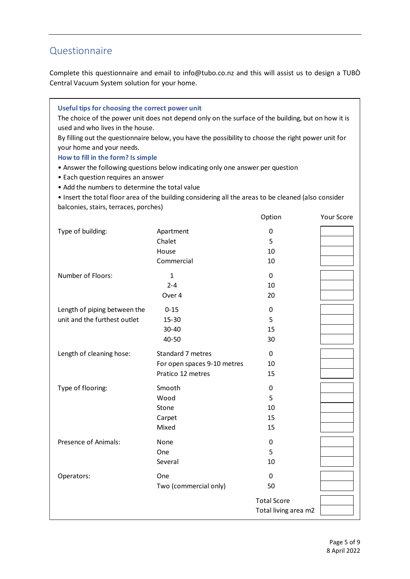## <span id="page-4-0"></span>Questionnaire

Complete this questionnaire and email to info@tubo.co.nz and this will assist us to design a TUBÒ Central Vacuum System solution for your home.

| Useful tips for choosing the correct power unit<br>used and who lives in the house.<br>your home and your needs.<br>How to fill in the form? Is simple<br>• Each question requires an answer<br>• Add the numbers to determine the total value<br>balconies, stairs, terraces, porches) | The choice of the power unit does not depend only on the surface of the building, but on how it is<br>By filling out the questionnaire below, you have the possibility to choose the right power unit for<br>• Answer the following questions below indicating only one answer per question<br>. Insert the total floor area of the building considering all the areas to be cleaned (also consider |                                            |            |
|-----------------------------------------------------------------------------------------------------------------------------------------------------------------------------------------------------------------------------------------------------------------------------------------|-----------------------------------------------------------------------------------------------------------------------------------------------------------------------------------------------------------------------------------------------------------------------------------------------------------------------------------------------------------------------------------------------------|--------------------------------------------|------------|
|                                                                                                                                                                                                                                                                                         |                                                                                                                                                                                                                                                                                                                                                                                                     | Option                                     | Your Score |
| Type of building:                                                                                                                                                                                                                                                                       | Apartment<br>Chalet<br>House<br>Commercial                                                                                                                                                                                                                                                                                                                                                          | 0<br>5<br>10<br>10                         |            |
| Number of Floors:                                                                                                                                                                                                                                                                       | 1<br>$2 - 4$<br>Over 4                                                                                                                                                                                                                                                                                                                                                                              | 0<br>10<br>20                              |            |
| Length of piping between the<br>unit and the furthest outlet                                                                                                                                                                                                                            | $0 - 15$<br>15-30<br>30-40<br>40-50                                                                                                                                                                                                                                                                                                                                                                 | 0<br>5<br>15<br>30                         |            |
| Length of cleaning hose:                                                                                                                                                                                                                                                                | Standard 7 metres<br>For open spaces 9-10 metres<br>Pratico 12 metres                                                                                                                                                                                                                                                                                                                               | 0<br>10<br>15                              |            |
| Type of flooring:                                                                                                                                                                                                                                                                       | Smooth<br>Wood<br>Stone<br>Carpet<br>Mixed                                                                                                                                                                                                                                                                                                                                                          | 0<br>5<br>10<br>15<br>15                   |            |
| Presence of Animals:                                                                                                                                                                                                                                                                    | None<br>One<br>Several                                                                                                                                                                                                                                                                                                                                                                              | 0<br>5<br>10                               |            |
| Operators:                                                                                                                                                                                                                                                                              | One<br>Two (commercial only)                                                                                                                                                                                                                                                                                                                                                                        | 0<br>50                                    |            |
|                                                                                                                                                                                                                                                                                         |                                                                                                                                                                                                                                                                                                                                                                                                     | <b>Total Score</b><br>Total living area m2 |            |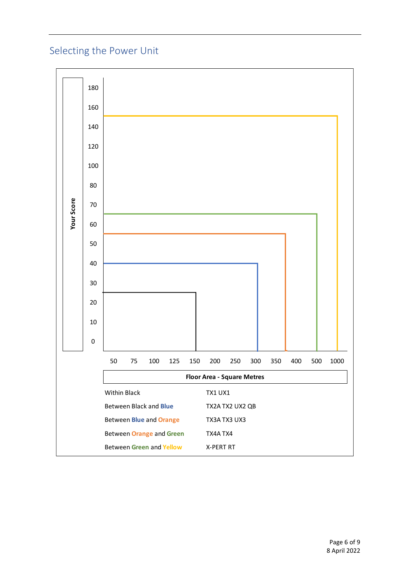# <span id="page-5-0"></span>Selecting the Power Unit

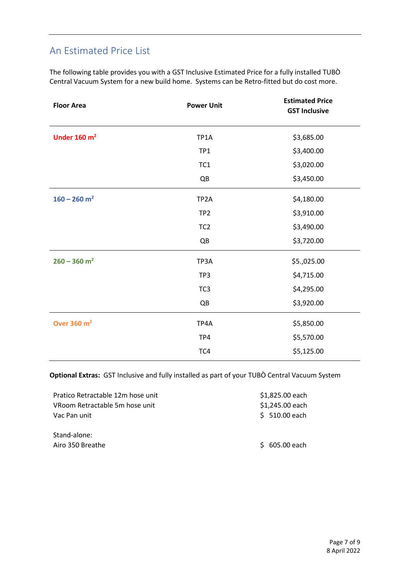## <span id="page-6-0"></span>An Estimated Price List

The following table provides you with a GST Inclusive Estimated Price for a fully installed TUBÒ Central Vacuum System for a new build home. Systems can be Retro-fitted but do cost more.

| <b>Floor Area</b>          | <b>Power Unit</b> | <b>Estimated Price</b><br><b>GST Inclusive</b> |
|----------------------------|-------------------|------------------------------------------------|
| Under $160 \text{ m}^2$    | TP1A              | \$3,685.00                                     |
|                            | TP1               | \$3,400.00                                     |
|                            | TC1               | \$3,020.00                                     |
|                            | QB                | \$3,450.00                                     |
| $160 - 260$ m <sup>2</sup> | TP <sub>2</sub> A | \$4,180.00                                     |
|                            | TP <sub>2</sub>   | \$3,910.00                                     |
|                            | TC <sub>2</sub>   | \$3,490.00                                     |
|                            | QB                | \$3,720.00                                     |
| $260 - 360$ m <sup>2</sup> | TP3A              | \$5.,025.00                                    |
|                            | TP3               | \$4,715.00                                     |
|                            | TC <sub>3</sub>   | \$4,295.00                                     |
|                            | QB                | \$3,920.00                                     |
| Over 360 m <sup>2</sup>    | TP4A              | \$5,850.00                                     |
|                            | TP4               | \$5,570.00                                     |
|                            | TC4               | \$5,125.00                                     |

**Optional Extras:** GST Inclusive and fully installed as part of your TUBÒ Central Vacuum System

| Pratico Retractable 12m hose unit | \$1,825.00 each |
|-----------------------------------|-----------------|
| VRoom Retractable 5m hose unit    | \$1,245.00 each |
| Vac Pan unit                      | $$ 510.00$ each |
| Stand-alone:                      |                 |
| Airo 350 Breathe                  | $$605.00$ each  |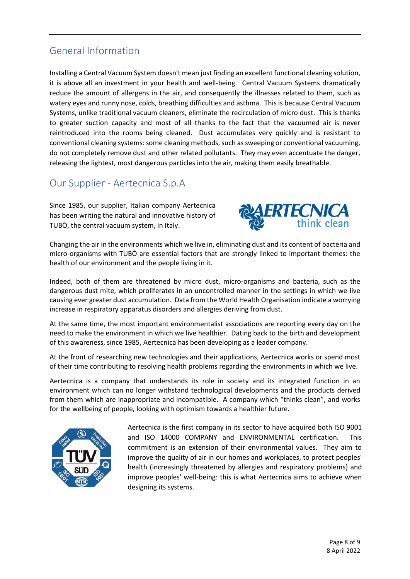## <span id="page-7-0"></span>General Information

Installing a Central Vacuum System doesn't mean just finding an excellent functional cleaning solution, it is above all an investment in your health and well-being. Central Vacuum Systems dramatically reduce the amount of allergens in the air, and consequently the illnesses related to them, such as watery eyes and runny nose, colds, breathing difficulties and asthma. This is because Central Vacuum Systems, unlike traditional vacuum cleaners, eliminate the recirculation of micro dust. This is thanks to greater suction capacity and most of all thanks to the fact that the vacuumed air is never reintroduced into the rooms being cleaned. Dust accumulates very quickly and is resistant to conventional cleaning systems: some cleaning methods, such as sweeping or conventional vacuuming, do not completely remove dust and other related pollutants. They may even accentuate the danger, releasing the lightest, most dangerous particles into the air, making them easily breathable.

### <span id="page-7-1"></span>Our Supplier - Aertecnica S.p.A

Since 1985, our supplier, Italian company Aertecnica has been writing the natural and innovative history of TUBÒ, the central vacuum system, in Italy.



Changing the air in the environments which we live in, eliminating dust and its content of bacteria and micro-organisms with TUBÒ are essential factors that are strongly linked to important themes: the health of our environment and the people living in it.

Indeed, both of them are threatened by micro dust, micro-organisms and bacteria, such as the dangerous dust mite, which proliferates in an uncontrolled manner in the settings in which we live causing ever greater dust accumulation. Data from the World Health Organisation indicate a worrying increase in respiratory apparatus disorders and allergies deriving from dust.

At the same time, the most important environmentalist associations are reporting every day on the need to make the environment in which we live healthier. Dating back to the birth and development of this awareness, since 1985, Aertecnica has been developing as a leader company.

At the front of researching new technologies and their applications, Aertecnica works or spend most of their time contributing to resolving health problems regarding the environments in which we live.

Aertecnica is a company that understands its role in society and its integrated function in an environment which can no longer withstand technological developments and the products derived from them which are inappropriate and incompatible. A company which "thinks clean", and works for the wellbeing of people, looking with optimism towards a healthier future.



Aertecnica is the first company in its sector to have acquired both ISO 9001 and ISO 14000 COMPANY and ENVIRONMENTAL certification. This commitment is an extension of their environmental values. They aim to improve the quality of air in our homes and workplaces, to protect peoples' health (increasingly threatened by allergies and respiratory problems) and improve peoples' well-being: this is what Aertecnica aims to achieve when designing its systems.